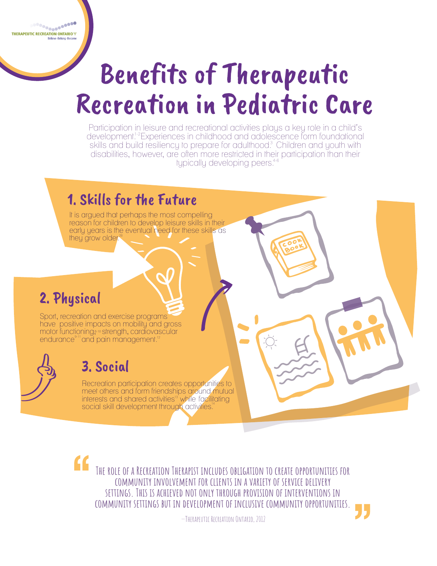Recreation participation creates opportunities to meet others and form friendships around mutual interests and shared activities<sup>13</sup> while facilitating social skill development through activities.<sup>14</sup>

Sport, recreation and exercise programs have positive impacts on mobility and gross motor functioning<sup>8-10</sup> strength, cardiovascular endurance<sup>9-11</sup> and pain management.<sup>12</sup>



## 1. Skills for the Future

## 2. Physical

reason for children to develop leisure skills in their early years is the eventual need for these skills as they grow older.<sup>20</sup>

## 3. Social

Participation in leisure and recreational activities plays a key role in a child's development.<sup>1-2</sup> Experiences in childhood and adolescence form foundational skills and build resiliency to prepare for adulthood.<sup>3</sup> Children and youth with disabilities, however, are often more restricted in their participation than their typically developing peers. 3 4-6

It is argued that perhaps the most compelling

## **The role of a Recreation Therapist includes obligation to create opportunities for community involvement for clients in a variety of service delivery settings. This is achieved not only through provision of interventions in community settings but in development of inclusive community opportunities.**

—Therapeutic Recreation Ontario, 2012

de es espectadores en el estec

# Benefits of Therapeutic Recreation in Pediatric Care